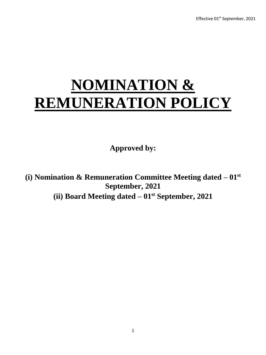# **NOMINATION & REMUNERATION POLICY**

**Approved by:**

**(i) Nomination & Remuneration Committee Meeting dated – 01st September, 2021 (ii) Board Meeting dated – 01st September, 2021**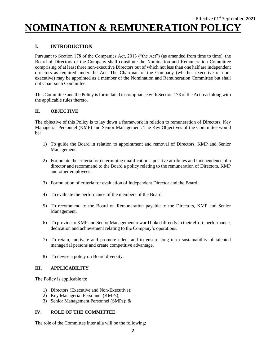# **NOMINATION & REMUNERATION POLIC**

# **I. INTRODUCTION**

Pursuant to Section 178 of the Companies Act, 2013 ("the Act") (as amended from time to time), the Board of Directors of the Company shall constitute the Nomination and Remuneration Committee comprising of at least three non-executive Directors out of which not less than one half are independent directors as required under the Act. The Chairman of the Company (whether executive or nonexecutive) may be appointed as a member of the Nomination and Remuneration Committee but shall not Chair such Committee.

This Committee and the Policy is formulated in compliance with Section 178 of the Act read along with the applicable rules thereto.

# **II. OBJECTIVE**

The objective of this Policy is to lay down a framework in relation to remuneration of Directors, Key Managerial Personnel (KMP) and Senior Management. The Key Objectives of the Committee would be:

- 1) To guide the Board in relation to appointment and removal of Directors, KMP and Senior Management.
- 2) Formulate the criteria for determining qualifications, positive attributes and independence of a director and recommend to the Board a policy relating to the remuneration of Directors, KMP and other employees.
- 3) Formulation of criteria for evaluation of Independent Director and the Board.
- 4) To evaluate the performance of the members of the Board.
- 5) To recommend to the Board on Remuneration payable to the Directors, KMP and Senior Management.
- 6) To provide to KMP and Senior Management reward linked directly to their effort, performance, dedication and achievement relating to the Company's operations.
- 7) To retain, motivate and promote talent and to ensure long term sustainability of talented managerial persons and create competitive advantage.
- 8) To devise a policy on Board diversity.

# **III. APPLICABILITY**

The Policy is applicable to:

- 1) Directors (Executive and Non-Executive);
- 2) Key Managerial Personnel (KMPs);
- 3) Senior Management Personnel (SMPs); &

# **IV. ROLE OF THE COMMITTEE**

The role of the Committee inter alia will be the following: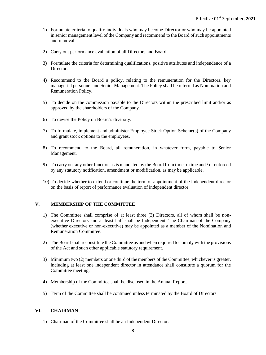- 1) Formulate criteria to qualify individuals who may become Director or who may be appointed in senior management level of the Company and recommend to the Board of such appointments and removal.
- 2) Carry out performance evaluation of all Directors and Board.
- 3) Formulate the criteria for determining qualifications, positive attributes and independence of a Director.
- 4) Recommend to the Board a policy, relating to the remuneration for the Directors, key managerial personnel and Senior Management. The Policy shall be referred as Nomination and Remuneration Policy.
- 5) To decide on the commission payable to the Directors within the prescribed limit and/or as approved by the shareholders of the Company.
- 6) To devise the Policy on Board's diversity.
- 7) To formulate, implement and administer Employee Stock Option Scheme(s) of the Company and grant stock options to the employees.
- 8) To recommend to the Board, all remuneration, in whatever form, payable to Senior Management.
- 9) To carry out any other function as is mandated by the Board from time to time and / or enforced by any statutory notification, amendment or modification, as may be applicable.
- 10) To decide whether to extend or continue the term of appointment of the independent director on the basis of report of performance evaluation of independent director.

# **V. MEMBERSHIP OF THE COMMITTEE**

- 1) The Committee shall comprise of at least three (3) Directors, all of whom shall be nonexecutive Directors and at least half shall be Independent. The Chairman of the Company (whether executive or non-executive) may be appointed as a member of the Nomination and Remuneration Committee.
- 2) The Board shall reconstitute the Committee as and when required to comply with the provisions of the Act and such other applicable statutory requirement.
- 3) Minimum two (2) members or one third of the members of the Committee, whichever is greater, including at least one independent director in attendance shall constitute a quorum for the Committee meeting.
- 4) Membership of the Committee shall be disclosed in the Annual Report.
- 5) Term of the Committee shall be continued unless terminated by the Board of Directors.

#### **VI. CHAIRMAN**

1) Chairman of the Committee shall be an Independent Director.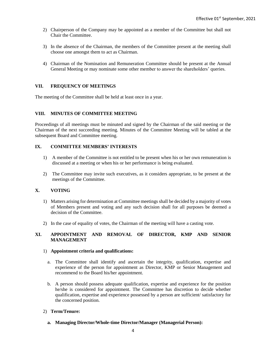- 2) Chairperson of the Company may be appointed as a member of the Committee but shall not Chair the Committee.
- 3) In the absence of the Chairman, the members of the Committee present at the meeting shall choose one amongst them to act as Chairman.
- 4) Chairman of the Nomination and Remuneration Committee should be present at the Annual General Meeting or may nominate some other member to answer the shareholders' queries.

# **VII. FREQUENCY OF MEETINGS**

The meeting of the Committee shall be held at least once in a year.

#### **VIII. MINUTES OF COMMITTEE MEETING**

Proceedings of all meetings must be minuted and signed by the Chairman of the said meeting or the Chairman of the next succeeding meeting. Minutes of the Committee Meeting will be tabled at the subsequent Board and Committee meeting.

#### **IX. COMMITTEE MEMBERS' INTERESTS**

- 1) A member of the Committee is not entitled to be present when his or her own remuneration is discussed at a meeting or when his or her performance is being evaluated.
- 2) The Committee may invite such executives, as it considers appropriate, to be present at the meetings of the Committee.

#### **X. VOTING**

- 1) Matters arising for determination at Committee meetings shall be decided by a majority of votes of Members present and voting and any such decision shall for all purposes be deemed a decision of the Committee.
- 2) In the case of equality of votes, the Chairman of the meeting will have a casting vote.

#### **XI. APPOINTMENT AND REMOVAL OF DIRECTOR, KMP AND SENIOR MANAGEMENT**

#### 1) **Appointment criteria and qualifications:**

- a. The Committee shall identify and ascertain the integrity, qualification, expertise and experience of the person for appointment as Director, KMP or Senior Management and recommend to the Board his/her appointment.
- b. A person should possess adequate qualification, expertise and experience for the position he/she is considered for appointment. The Committee has discretion to decide whether qualification, expertise and experience possessed by a person are sufficient/ satisfactory for the concerned position.

#### 2) **Term/Tenure:**

**a. Managing Director/Whole-time Director/Manager (Managerial Person):**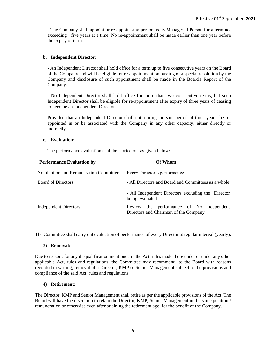- The Company shall appoint or re-appoint any person as its Managerial Person for a term not exceeding five years at a time. No re-appointment shall be made earlier than one year before the expiry of term.

# **b. Independent Director:**

- An Independent Director shall hold office for a term up to five consecutive years on the Board of the Company and will be eligible for re-appointment on passing of a special resolution by the Company and disclosure of such appointment shall be made in the Board's Report of the Company.

- No Independent Director shall hold office for more than two consecutive terms, but such Independent Director shall be eligible for re-appointment after expiry of three years of ceasing to become an Independent Director.

Provided that an Independent Director shall not, during the said period of three years, be reappointed in or be associated with the Company in any other capacity, either directly or indirectly.

# **c. Evaluation:**

The performance evaluation shall be carried out as given below:-

| <b>Performance Evaluation by</b>      | Of Whom                                                                                                                      |
|---------------------------------------|------------------------------------------------------------------------------------------------------------------------------|
| Nomination and Remuneration Committee | Every Director's performance                                                                                                 |
| <b>Board of Directors</b>             | - All Directors and Board and Committees as a whole<br>- All Independent Directors excluding the Director<br>being evaluated |
| <b>Independent Directors</b>          | the performance of Non-Independent<br>Review<br>Directors and Chairman of the Company                                        |

The Committee shall carry out evaluation of performance of every Director at regular interval (yearly).

# 3) **Removal:**

Due to reasons for any disqualification mentioned in the Act, rules made there under or under any other applicable Act, rules and regulations, the Committee may recommend, to the Board with reasons recorded in writing, removal of a Director, KMP or Senior Management subject to the provisions and compliance of the said Act, rules and regulations.

# 4) **Retirement:**

The Director, KMP and Senior Management shall retire as per the applicable provisions of the Act. The Board will have the discretion to retain the Director, KMP, Senior Management in the same position / remuneration or otherwise even after attaining the retirement age, for the benefit of the Company.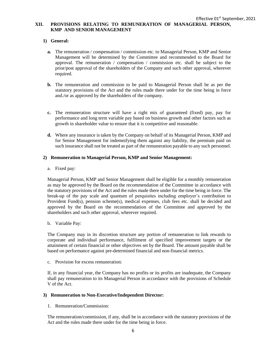#### **XII. PROVISIONS RELATING TO REMUNERATION OF MANAGERIAL PERSON, KMP AND SENIOR MANAGEMENT**

# **1) General:**

- **a.** The remuneration / compensation / commission etc. to Managerial Person, KMP and Senior Management will be determined by the Committee and recommended to the Board for approval. The remuneration / compensation / commission etc. shall be subject to the prior/post approval of the shareholders of the Company and such other approval, wherever required.
- **b.** The remuneration and commission to be paid to Managerial Person shall be as per the statutory provisions of the Act and the rules made there under for the time being in force and./or as approved by the shareholders of the company.
- **c.** The remuneration structure will have a right mix of guaranteed (fixed) pay, pay for performance and long term variable pay based on business growth and other factors such as growth in shareholder value to ensure that it is competitive and reasonable.
- **d.** Where any insurance is taken by the Company on behalf of its Managerial Person, KMP and for Senior Management for indemnifying them against any liability, the premium paid on such insurance shall not be treated as part of the remuneration payable to any such personnel.

# **2) Remuneration to Managerial Person, KMP and Senior Management:**

a. Fixed pay:

Managerial Person, KMP and Senior Management shall be eligible for a monthly remuneration as may be approved by the Board on the recommendation of the Committee in accordance with the statutory provisions of the Act and the rules made there under for the time being in force. The break-up of the pay scale and quantum of perquisites including employer's contribution to Provident Fund(s), pension scheme(s), medical expenses, club fees etc. shall be decided and approved by the Board on the recommendation of the Committee and approved by the shareholders and such other approval, wherever required.

b. Variable Pay:

The Company may in its discretion structure any portion of remuneration to link rewards to corporate and individual performance, fulfilment of specified improvement targets or the attainment of certain financial or other objectives set by the Board. The amount payable shall be based on performance against pre-determined financial and non-financial metrics.

c. Provision for excess remuneration:

If, in any financial year, the Company has no profits or its profits are inadequate, the Company shall pay remuneration to its Managerial Person in accordance with the provisions of Schedule V of the Act.

# **3) Remuneration to Non-Executive/Independent Director:**

1. Remuneration/Commission:

The remuneration/commission, if any, shall be in accordance with the statutory provisions of the Act and the rules made there under for the time being in force.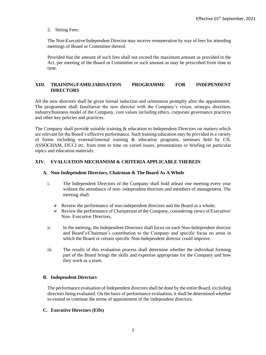2. Sitting Fees:

The Non-Executive/Independent Director may receive remuneration by way of fees for attending meetings of Board or Committee thereof.

Provided that the amount of such fees shall not exceed the maximum amount as provided in the Act, per meeting of the Board or Committee or such amount as may be prescribed from time to time.

#### **XIII. TRAINING/FAMILIARISATION PROGRAMME FOR INDEPENDENT DIRECTORS**

All the new directors shall be given formal induction and orientation promptly after the appointment. The programme shall familiarize the new director with the Company's vision, strategic direction, industry/business model of the Company, core values including ethics, corporate governance practices and other key policies and practices.

The Company shall provide suitable training  $\&$  education to Independent Directors on matters which are relevant for the Board's effective performance. Such training/education may be provided in a variety of forms including external/internal training & education programs, seminars held by CII, ASSOCHAM, FICCI etc. from time to time on varied issues, presentations or briefing on particular topics and education materials.

#### **XIV. EVALUATION MECHANISM & CRITERIA APPLICABLE THEREIN**

#### **A. Non-Independent Directors, Chairman & The Board As A Whole**

- i. The Independent Directors of the Company shall hold atleast one meeting every year without the attendance of non- independent directors and members of management. The meeting shall:
	- $\triangleright$  Review the performance of non-independent directors and the Board as a whole;
	- $\triangleright$  Review the performance of Chairperson of the Company, considering views of Executive/ Non- Executive Directors.
- ii. In the meeting, the Independent Directors shall focus on each Non-Independent director and Board's/Chairman's contribution to the Company and specific focus on areas in which the Board or certain specific Non-Independent director could improve.
- iii. The results of this evaluation process shall determine whether the individual forming part of the Board brings the skills and expertise appropriate for the Company and how they work as a team.

#### **B. Independent Directors**

The performance evaluation of Independent directors shall be done by the entire Board, excluding directors being evaluated. On the basis of performance evaluation, it shall be determined whether to extend or continue the terms of appointment of the independent directors.

#### **C. Executive Directors (EDs)**